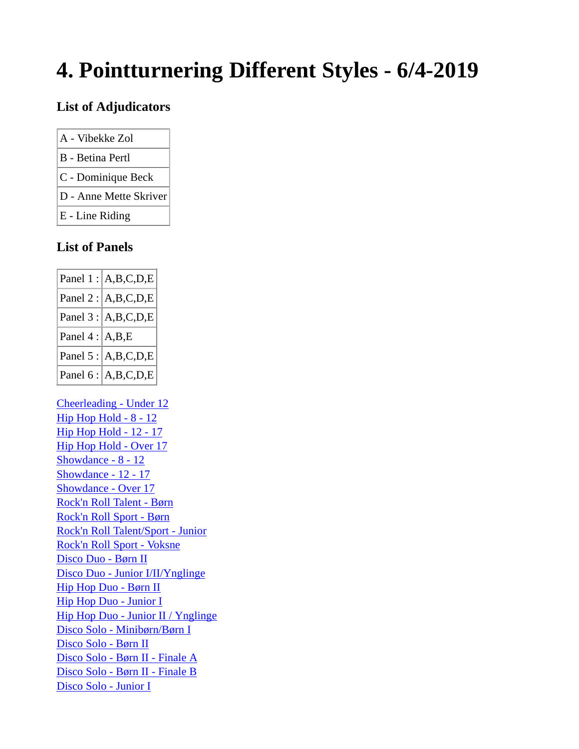# **4. Pointturnering Different Styles - 6/4-2019**

#### **List of Adjudicators**

- A Vibekke Zol
- B Betina Pertl
- C Dominique Beck
- D Anne Mette Skriver
- E Line Riding

#### **List of Panels**

|                      | Panel $1: A,B,C,D,E $    |
|----------------------|--------------------------|
|                      | Panel 2 : $A,B,C,D,E$    |
|                      | Panel $3$ : $ A,B,C,D,E$ |
| Panel $4$ : $ A,B,E$ |                          |
|                      | Panel 5 : $A,B,C,D,E$    |
|                      | Panel 6 : $A,B,C,D,E$    |

Cheerleading - Under 12 Hip Hop Hold - 8 - 12 Hip Hop Hold - 12 - 17 Hip Hop Hold - Over 17 Showdance - 8 - 12 Showdance - 12 - 17 Showdance - Over 17 Rock'n Roll Talent - Børn Rock'n Roll Sport - Børn Rock'n Roll Talent/Sport - Junior Rock'n Roll Sport - Voksne Disco Duo - Børn II Disco Duo - Junior I/II/Ynglinge Hip Hop Duo - Børn II Hip Hop Duo - Junior I Hip Hop Duo - Junior II / Ynglinge Disco Solo - Minibørn/Børn I Disco Solo - Børn II Disco Solo - Børn II - Finale A Disco Solo - Børn II - Finale B Disco Solo - Junior I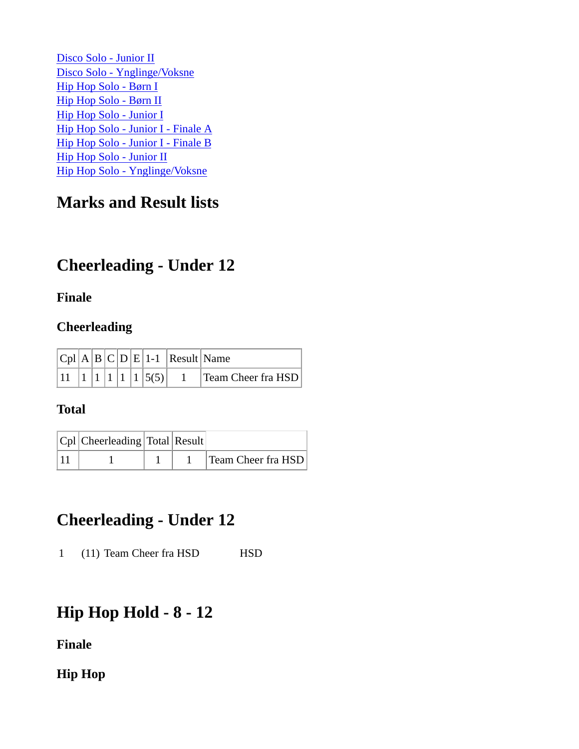Disco Solo - Junior II Disco Solo - Ynglinge/Voksne Hip Hop Solo - Børn I Hip Hop Solo - Børn II Hip Hop Solo - Junior I Hip Hop Solo - Junior I - Finale A Hip Hop Solo - Junior I - Finale B Hip Hop Solo - Junior II Hip Hop Solo - Ynglinge/Voksne

### **Marks and Result lists**

## **Cheerleading - Under 12**

#### **Finale**

#### **Cheerleading**

|  |  |  |                                            | $ Cpl A B C D E 1-1 $ Result Name |                           |
|--|--|--|--------------------------------------------|-----------------------------------|---------------------------|
|  |  |  | $\left 1\right 1\left 1\right 5(5)\right $ |                                   | <b>Team Cheer fra HSD</b> |

#### **Total**

| $ Cpl $ Cheerleading Total Result |  |                    |
|-----------------------------------|--|--------------------|
|                                   |  | Team Cheer fra HSD |

### **Cheerleading - Under 12**

1 (11) Team Cheer fra HSD HSD

### **Hip Hop Hold - 8 - 12**

**Finale**

**Hip Hop**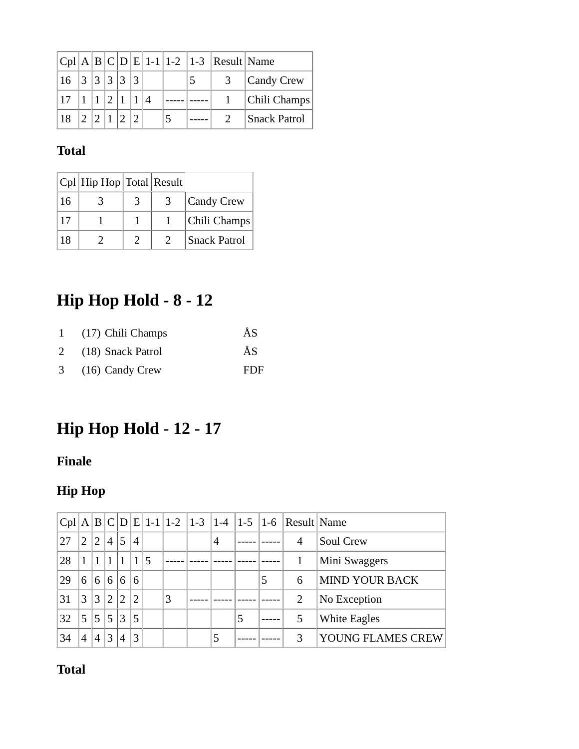|         |  |  |  |  | $ Cpl A B C D E 1-1 1-2 1-3 Result Name$ |                     |
|---------|--|--|--|--|------------------------------------------|---------------------|
|         |  |  |  |  | 3                                        | Candy Crew          |
| $117$ . |  |  |  |  |                                          | Chili Champs        |
| $18 -$  |  |  |  |  |                                          | <b>Snack Patrol</b> |

### **Total**

|    | $ Cpl $ Hip Hop $ Total $ Result |               |                     |
|----|----------------------------------|---------------|---------------------|
| 16 |                                  |               | Candy Crew          |
| 17 |                                  |               | Chili Champs        |
| 18 |                                  | $\mathcal{D}$ | <b>Snack Patrol</b> |

# **Hip Hop Hold - 8 - 12**

|                | 1 (17) Chili Champs | ÅS  |
|----------------|---------------------|-----|
|                | 2 (18) Snack Patrol | ÅS  |
| 3 <sup>1</sup> | $(16)$ Candy Crew   | FDF |

# **Hip Hop Hold - 12 - 17**

### **Finale**

### **Hip Hop**

| Cpl | A             |              |                |                |                |   |                | $B C D E 1-1 1-2 1-3 1-4 1-5 1-6$ |   | Result Name    |                       |
|-----|---------------|--------------|----------------|----------------|----------------|---|----------------|-----------------------------------|---|----------------|-----------------------|
| 27  | $\mathcal{D}$ | $^{\prime}2$ | $\overline{4}$ | 5              | 4              |   | $\overline{4}$ |                                   |   | 4              | Soul Crew             |
| 28  |               |              |                |                | 1              |   |                |                                   |   |                | Mini Swaggers         |
| 29  | 6             | 6            | 6              | 6              | 6              |   |                |                                   | 5 | 6              | <b>MIND YOUR BACK</b> |
| 31  | $\mathcal{R}$ | 3            | $\overline{2}$ | $\overline{2}$ | $\overline{2}$ | 3 |                |                                   |   | $\overline{2}$ | No Exception          |
| 32  | 5             | 5            | 5              | 3              | 5              |   |                | 5                                 |   | 5              | White Eagles          |
| 34  | 4             | 4            | 3              | 4              | 3              |   | 5              |                                   |   | 3              | YOUNG FLAMES CREW     |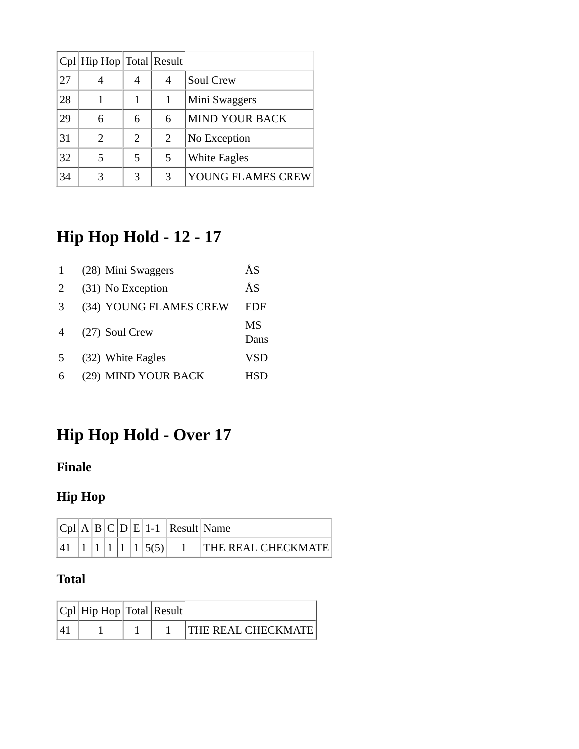|    | Cpl   Hip Hop   Total   Result |   |   |                       |
|----|--------------------------------|---|---|-----------------------|
| 27 |                                |   | 4 | Soul Crew             |
| 28 |                                |   |   | Mini Swaggers         |
| 29 | 6                              | 6 | 6 | <b>MIND YOUR BACK</b> |
| 31 | 2                              | 2 | 2 | No Exception          |
| 32 | 5                              |   | 5 | White Eagles          |
| 34 |                                | 3 | 3 | YOUNG FLAMES CREW     |

# **Hip Hop Hold - 12 - 17**

|               | (28) Mini Swaggers     | ÅS         |
|---------------|------------------------|------------|
| 2             | (31) No Exception      | ÅS         |
| $\mathcal{R}$ | (34) YOUNG FLAMES CREW | FDF        |
| 4             | (27) Soul Crew         | MS<br>Dans |
| .5            | (32) White Eagles      | <b>VSD</b> |
| 6             | (29) MIND YOUR BACK    | HSD.       |

# **Hip Hop Hold - Over 17**

### **Finale**

### **Hip Hop**

|  |  |  | $ C_{D} $ $\land$ $ B $ $C D E $ 1-1 $ Result Name$ |                           |
|--|--|--|-----------------------------------------------------|---------------------------|
|  |  |  |                                                     | <b>THE REAL CHECKMATE</b> |

| $ Cpl $ Hip Hop $ Total $ Result |  |                            |
|----------------------------------|--|----------------------------|
|                                  |  | <b>THE REAL CHECKMATE!</b> |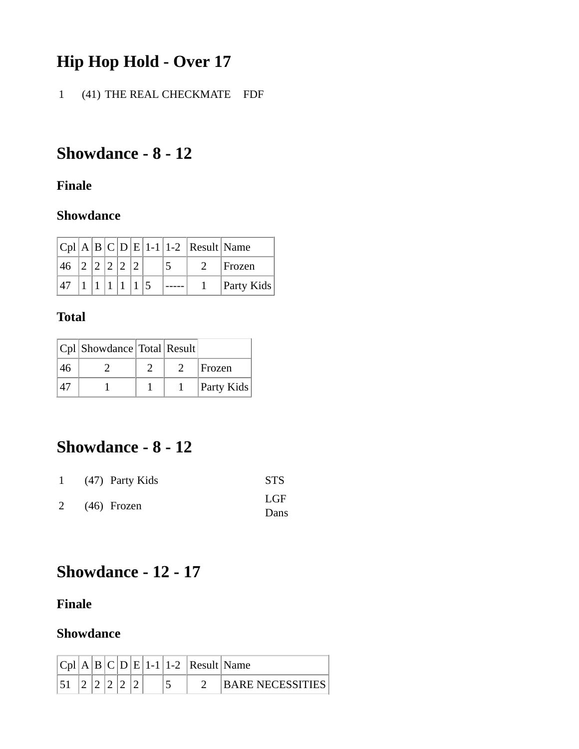# **Hip Hop Hold - Over 17**

1 (41) THE REAL CHECKMATE FDF

# **Showdance - 8 - 12**

#### **Finale**

#### **Showdance**

|              |           |  |  |  | $ Cpl A B C D E 1-1 1-2 Result Name$ |                   |
|--------------|-----------|--|--|--|--------------------------------------|-------------------|
| $ 46\rangle$ | 2 2 2 2 2 |  |  |  |                                      | Frozen            |
|              |           |  |  |  |                                      | <b>Party Kids</b> |

#### **Total**

|    | Cpl Showdance Total Result |  |            |
|----|----------------------------|--|------------|
| 46 |                            |  | Frozen     |
|    |                            |  | Party Kids |

### **Showdance - 8 - 12**

| 1 $(47)$ Party Kids | <b>STS</b> |
|---------------------|------------|
|                     | LGF        |
| $2(46)$ Frozen      | Dans       |

### **Showdance - 12 - 17**

#### **Finale**

#### **Showdance**

|  |  |  |   | $ B C D E 1-1 1-2 Result Name$ |                   |
|--|--|--|---|--------------------------------|-------------------|
|  |  |  | ÷ |                                | IBARE NECESSITIES |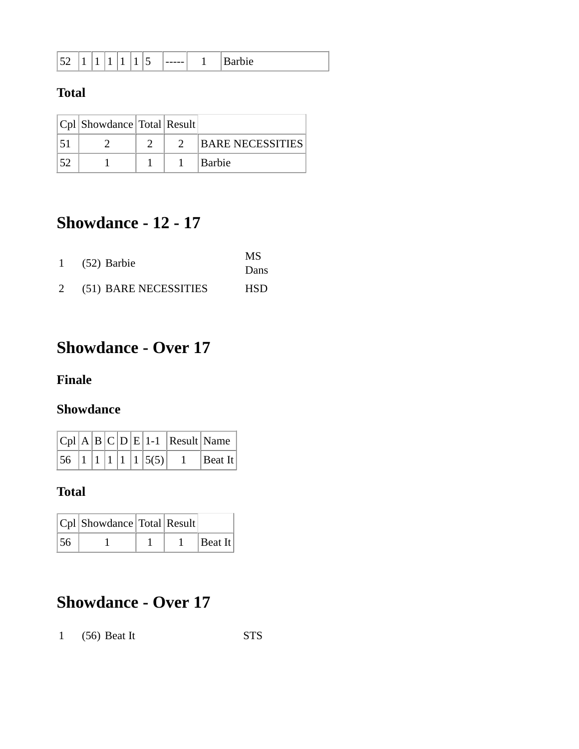| — |  |  |  |  |  | . . | ----- |  | ້ |
|---|--|--|--|--|--|-----|-------|--|---|
|---|--|--|--|--|--|-----|-------|--|---|

#### **Total**

| Cpl   Showdance   Total   Result |  |                         |
|----------------------------------|--|-------------------------|
|                                  |  | <b>BARE NECESSITIES</b> |
|                                  |  | Barbie                  |

## **Showdance - 12 - 17**

|                       | MS         |
|-----------------------|------------|
| (52) Barbie           | Dans       |
| (51) BARE NECESSITIES | <b>HSD</b> |

### **Showdance - Over 17**

#### **Finale**

#### **Showdance**

|  |  |  |                                                                                  | $ Cpl A B C D E 1-1 $ Result Name |
|--|--|--|----------------------------------------------------------------------------------|-----------------------------------|
|  |  |  | $\left 56\right  \left 1\right  \left 1\right  \left 1\right  \left 5(5)\right $ | $ $ Beat It                       |

#### **Total**

|                 | $ Cpl $ Showdance Total Result |  |         |
|-----------------|--------------------------------|--|---------|
| $\frac{156}{5}$ |                                |  | Beat It |

## **Showdance - Over 17**

1 (56) Beat It STS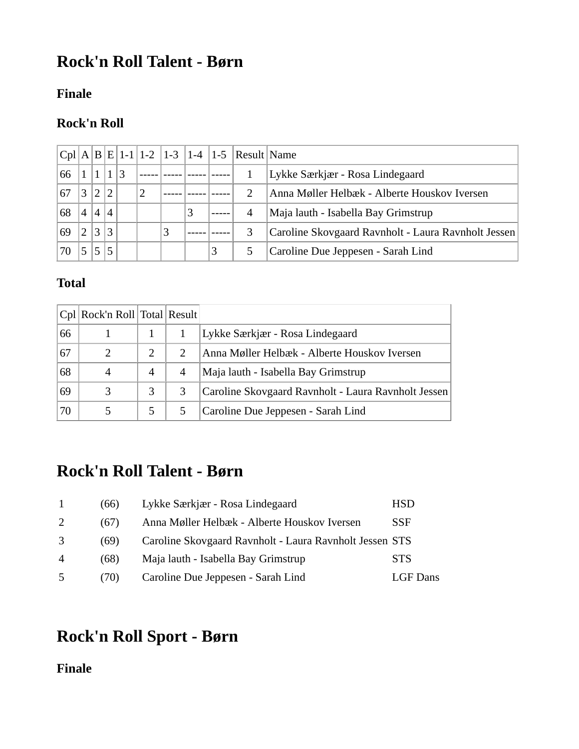## **Rock'n Roll Talent - Børn**

#### **Finale**

#### **Rock'n Roll**

|    |   |   |   |   | $ Cpl A B E 1-1 1-2 1-3$ |   |   |   | $\left 1-4\right $ $\left 1-5\right $ Result Name |                                                     |
|----|---|---|---|---|--------------------------|---|---|---|---------------------------------------------------|-----------------------------------------------------|
| 66 |   |   |   | 3 |                          |   |   |   |                                                   | Lykke Særkjær - Rosa Lindegaard                     |
| 67 |   |   | ി |   |                          |   |   |   | 2                                                 | Anna Møller Helbæk - Alberte Houskov Iversen        |
| 68 | 4 | 4 | 4 |   |                          |   | 3 |   | 4                                                 | Maja lauth - Isabella Bay Grimstrup                 |
| 69 |   |   | 3 |   |                          | 3 |   |   | 3                                                 | Caroline Skovgaard Ravnholt - Laura Ravnholt Jessen |
|    |   |   |   |   |                          |   |   | 3 |                                                   | Caroline Due Jeppesen - Sarah Lind                  |

#### **Total**

|    | Cpl Rock'n Roll Total Result |                             |                |                                                     |
|----|------------------------------|-----------------------------|----------------|-----------------------------------------------------|
| 66 |                              |                             |                | Lykke Særkjær - Rosa Lindegaard                     |
| 67 |                              | $\mathcal{D}_{\mathcal{L}}$ | 2              | Anna Møller Helbæk - Alberte Houskov Iversen        |
| 68 |                              | 4                           | $\overline{4}$ | Maja lauth - Isabella Bay Grimstrup                 |
| 69 |                              | 3                           |                | Caroline Skovgaard Ravnholt - Laura Ravnholt Jessen |
| 70 |                              |                             |                | Caroline Due Jeppesen - Sarah Lind                  |

### **Rock'n Roll Talent - Børn**

|                | (66) | Lykke Særkjær - Rosa Lindegaard                         | <b>HSD</b>      |
|----------------|------|---------------------------------------------------------|-----------------|
| 2              | (67) | Anna Møller Helbæk - Alberte Houskov Iversen            | <b>SSF</b>      |
|                | (69) | Caroline Skovgaard Ravnholt - Laura Ravnholt Jessen STS |                 |
| $\overline{4}$ | (68) | Maja lauth - Isabella Bay Grimstrup                     | <b>STS</b>      |
| -5             | (70) | Caroline Due Jeppesen - Sarah Lind                      | <b>LGF</b> Dans |

# **Rock'n Roll Sport - Børn**

**Finale**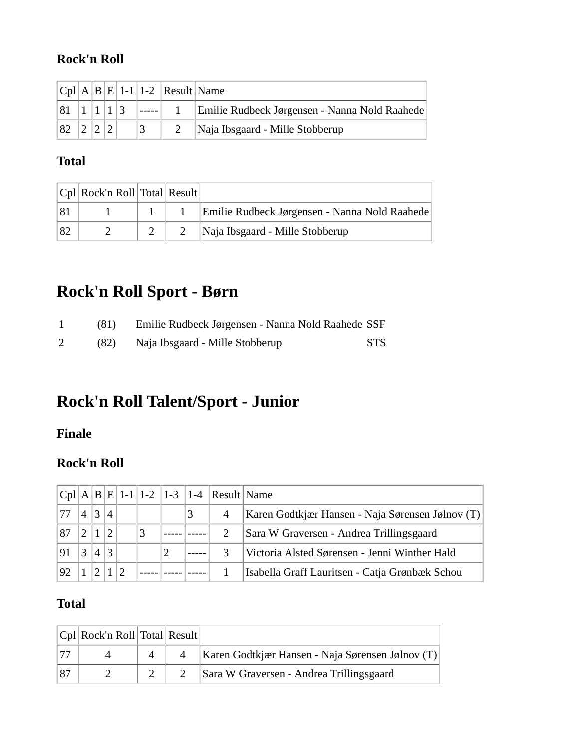#### **Rock'n Roll**

|    |  |  | $ Cpl A B E 1-1 1-2 Result Name$ |                                               |
|----|--|--|----------------------------------|-----------------------------------------------|
| 81 |  |  |                                  | Emilie Rudbeck Jørgensen - Nanna Nold Raahede |
| 82 |  |  |                                  | Naja Ibsgaard - Mille Stobberup               |

#### **Total**

|    | $ Cpl $ Rock'n Roll Total Result |  |                                               |
|----|----------------------------------|--|-----------------------------------------------|
|    |                                  |  | Emilie Rudbeck Jørgensen - Nanna Nold Raahede |
| 82 |                                  |  | Naja Ibsgaard - Mille Stobberup               |

# **Rock'n Roll Sport - Børn**

| (81) | Emilie Rudbeck Jørgensen - Nanna Nold Raahede SSF |      |
|------|---------------------------------------------------|------|
| (82) | Naja Ibsgaard - Mille Stobberup                   | STS. |

# **Rock'n Roll Talent/Sport - Junior**

**Finale**

#### **Rock'n Roll**

|     |                           |                |                |  |  | $ Cpl A B E 1-1 1-2 1-3 1-4 Result Name$ |                                                  |
|-----|---------------------------|----------------|----------------|--|--|------------------------------------------|--------------------------------------------------|
| 177 | $\boldsymbol{\varLambda}$ | $\overline{3}$ | $\overline{A}$ |  |  | $\overline{4}$                           | Karen Godtkjær Hansen - Naja Sørensen Jølnov (T) |
| 87  |                           |                |                |  |  |                                          | Sara W Graversen - Andrea Trillingsgaard         |
|     |                           |                |                |  |  |                                          | Victoria Alsted Sørensen - Jenni Winther Hald    |
| 92  |                           | $\mathcal{D}$  |                |  |  |                                          | Isabella Graff Lauritsen - Catja Grønbæk Schou   |

| $ Cpl $ Rock'n Roll Total Result |  |                                                  |
|----------------------------------|--|--------------------------------------------------|
|                                  |  | Karen Godtkjær Hansen - Naja Sørensen Jølnov (T) |
|                                  |  | Sara W Graversen - Andrea Trillingsgaard         |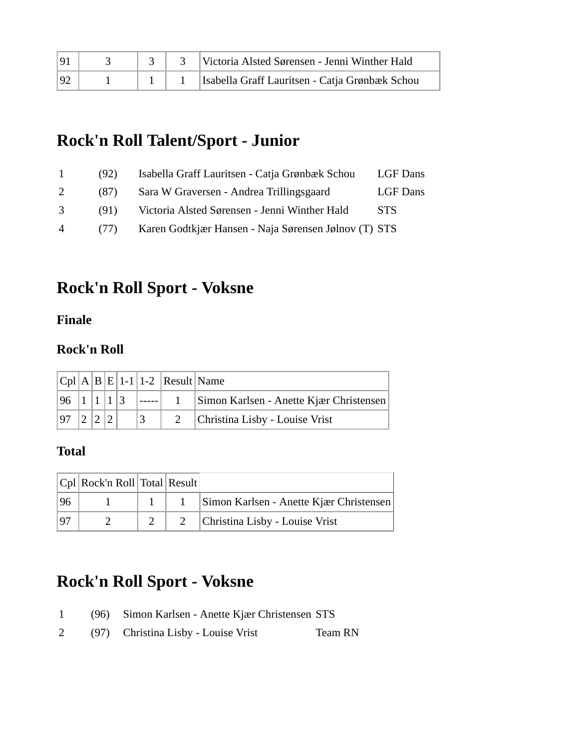| 101 |  | Victoria Alsted Sørensen - Jenni Winther Hald  |
|-----|--|------------------------------------------------|
| 92  |  | Isabella Graff Lauritsen - Catja Grønbæk Schou |

### **Rock'n Roll Talent/Sport - Junior**

| $\mathbf{L}$   | (92) | Isabella Graff Lauritsen - Catja Grønbæk Schou       | LGF Dans |
|----------------|------|------------------------------------------------------|----------|
| 2              | (87) | Sara W Graversen - Andrea Trillingsgaard             | LGF Dans |
| 3              | (91) | Victoria Alsted Sørensen - Jenni Winther Hald        | STS.     |
| $\overline{4}$ | (77) | Karen Godtkjær Hansen - Naja Sørensen Jølnov (T) STS |          |

### **Rock'n Roll Sport - Voksne**

#### **Finale**

#### **Rock'n Roll**

|      |  |  | $ Cpl A B E 1-1 1-2 Result Name$ |                                         |
|------|--|--|----------------------------------|-----------------------------------------|
| 96 1 |  |  |                                  | Simon Karlsen - Anette Kjær Christensen |
| 97   |  |  |                                  | Christina Lisby - Louise Vrist          |

#### **Total**

|    | $ Cpl $ Rock'n Roll Total Result |  |                                         |
|----|----------------------------------|--|-----------------------------------------|
| 96 |                                  |  | Simon Karlsen - Anette Kjær Christensen |
| 97 |                                  |  | Christina Lisby - Louise Vrist          |

### **Rock'n Roll Sport - Voksne**

- 1 (96) Simon Karlsen Anette Kjær Christensen STS
- 2 (97) Christina Lisby Louise Vrist Team RN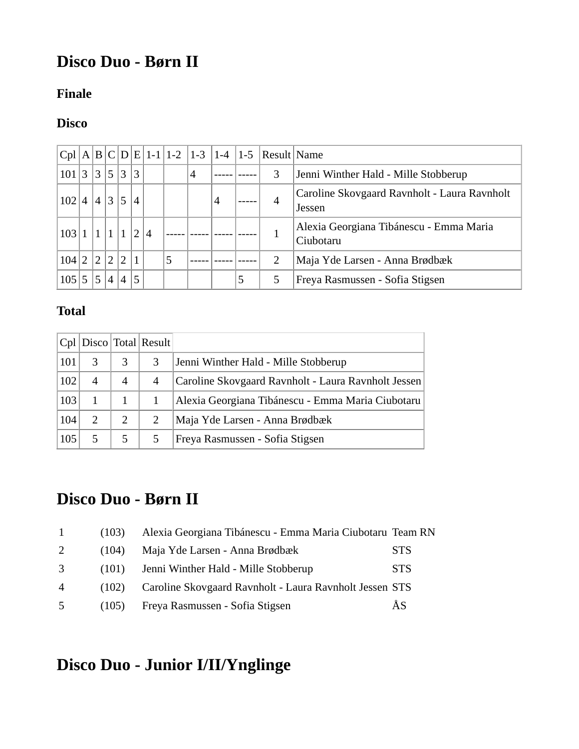# **Disco Duo - Børn II**

#### **Finale**

### **Disco**

| Cpl   |                |                |                |                |                |   | $A B C D E 1-1 1-2 1-3 1-4 1-5$ |                |   | Result Name |                                                        |
|-------|----------------|----------------|----------------|----------------|----------------|---|---------------------------------|----------------|---|-------------|--------------------------------------------------------|
| 101 3 | 3 <sup>1</sup> | 5 3            |                | 3              |                |   | 4                               |                |   | 3           | Jenni Winther Hald - Mille Stobberup                   |
| 102   |                | 4 3            |                | $\mathcal{A}$  |                |   |                                 | $\overline{4}$ |   | 4           | Caroline Skovgaard Ravnholt - Laura Ravnholt<br>Jessen |
| 103   |                |                |                |                | $\overline{4}$ |   |                                 |                |   |             | Alexia Georgiana Tibánescu - Emma Maria<br>Ciubotaru   |
| 104 2 | $\Omega$       | $\mathcal{D}$  | $\sqrt{2}$     |                |                | 5 |                                 |                |   | 2           | Maja Yde Larsen - Anna Brødbæk                         |
| 105   |                | $\overline{4}$ | $\overline{4}$ | 5 <sub>1</sub> |                |   |                                 |                | 5 |             | Freya Rasmussen - Sofia Stigsen                        |

#### **Total**

|     |                             |   | $ Cpl $ Disco $ Total $ Result |                                                     |
|-----|-----------------------------|---|--------------------------------|-----------------------------------------------------|
| 101 | 3                           | 3 | 3                              | Jenni Winther Hald - Mille Stobberup                |
| 102 | $\overline{A}$              | 4 | $\overline{4}$                 | Caroline Skovgaard Ravnholt - Laura Ravnholt Jessen |
| 103 |                             |   |                                | Alexia Georgiana Tibánescu - Emma Maria Ciubotaru   |
| 104 | $\mathcal{D}_{\mathcal{L}}$ | 2 | 2                              | Maja Yde Larsen - Anna Brødbæk                      |
| 105 | 5                           | 5 |                                | Freya Rasmussen - Sofia Stigsen                     |

## **Disco Duo - Børn II**

|                | (103) | Alexia Georgiana Tibánescu - Emma Maria Ciubotaru Team RN |            |
|----------------|-------|-----------------------------------------------------------|------------|
| 2              | (104) | Maja Yde Larsen - Anna Brødbæk                            | <b>STS</b> |
| 3              | (101) | Jenni Winther Hald - Mille Stobberup                      | <b>STS</b> |
| $\overline{4}$ | (102) | Caroline Skovgaard Ravnholt - Laura Ravnholt Jessen STS   |            |
| $\overline{5}$ | (105) | Freya Rasmussen - Sofia Stigsen                           | ÅS         |

# **Disco Duo - Junior I/II/Ynglinge**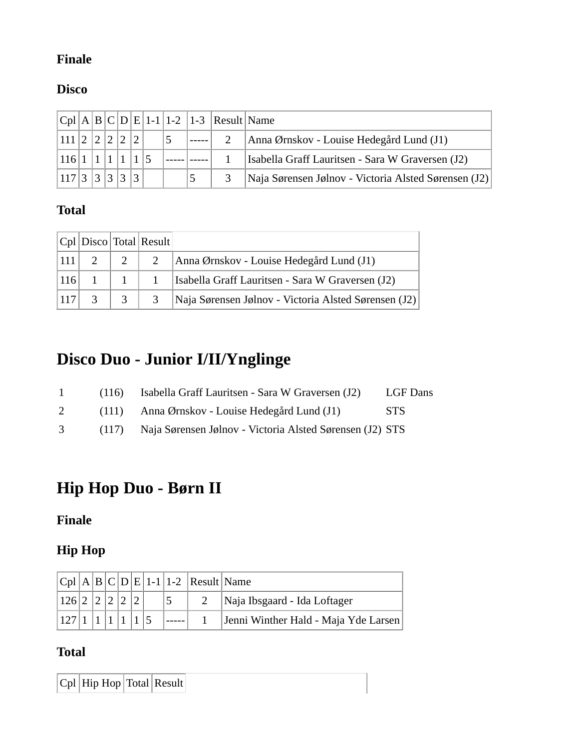#### **Finale**

#### **Disco**

|       |                         |       |   |  | $ Cpl A B C D E 1-1 1-2 1-3 Result Name$ |                                                      |
|-------|-------------------------|-------|---|--|------------------------------------------|------------------------------------------------------|
| 111 2 | $\left  \gamma \right $ |       |   |  |                                          | Anna Ørnskov - Louise Hedegård Lund (J1)             |
| 116 1 |                         |       |   |  |                                          | Isabella Graff Lauritsen - Sara W Graversen (J2)     |
| 117 3 |                         | 2 3 2 | 2 |  |                                          | Naja Sørensen Jølnov - Victoria Alsted Sørensen (J2) |

#### **Total**

|     |           |                                          | $ Cpl $ Disco Total Result |                                                      |
|-----|-----------|------------------------------------------|----------------------------|------------------------------------------------------|
|     | $ 111 $ 2 |                                          | 2                          | Anna Ørnskov - Louise Hedegård Lund (J1)             |
|     | $ 116 $ 1 |                                          |                            | Isabella Graff Lauritsen - Sara W Graversen (J2)     |
| 117 |           | $\begin{array}{c} \boxed{3} \end{array}$ | $\overline{3}$             | Naja Sørensen Jølnov - Victoria Alsted Sørensen (J2) |

# **Disco Duo - Junior I/II/Ynglinge**

| $\mathbf{1}$ | (116) Isabella Graff Lauritsen - Sara W Graversen (J2)         | <b>LGF</b> Dans |
|--------------|----------------------------------------------------------------|-----------------|
| 2            | (111) Anna Ørnskov - Louise Hedegård Lund (J1)                 | -STS            |
| 3            | (117) Naja Sørensen Jølnov - Victoria Alsted Sørensen (J2) STS |                 |

# **Hip Hop Duo - Børn II**

### **Finale**

#### **Hip Hop**

|               |  |  |  | $ Cpl A B C D E 1-1 1-2 Result Name$ |                                      |
|---------------|--|--|--|--------------------------------------|--------------------------------------|
| 126 2 2 2 2 2 |  |  |  |                                      | Naja Ibsgaard - Ida Loftager         |
| 127 1 1       |  |  |  |                                      | Jenni Winther Hald - Maja Yde Larsen |

#### **Total**

 $\boxed{\text{Cpl}$  Hip Hop Total Result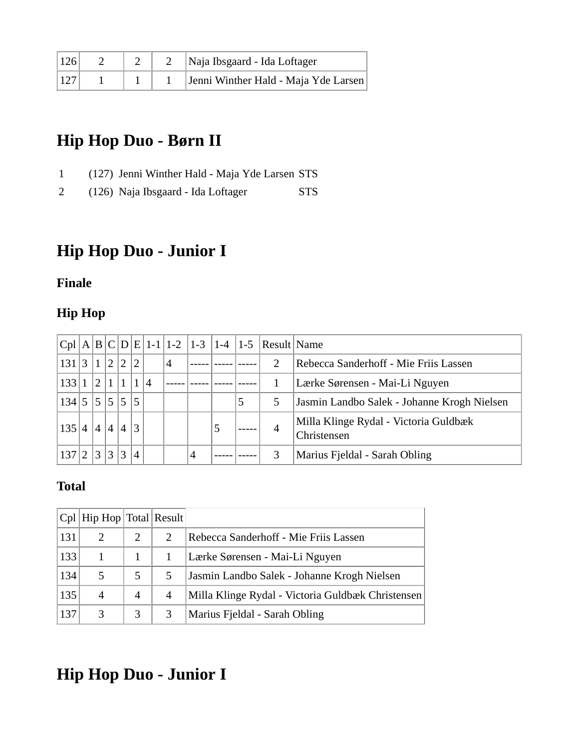| $ 126\rangle$ |  | Naja Ibsgaard - Ida Loftager         |
|---------------|--|--------------------------------------|
|               |  | Jenni Winther Hald - Maja Yde Larsen |

## **Hip Hop Duo - Børn II**

- 1 (127) Jenni Winther Hald Maja Yde Larsen STS
- 2 (126) Naja Ibsgaard Ida Loftager STS

## **Hip Hop Duo - Junior I**

#### **Finale**

#### **Hip Hop**

|       |                |                |                |                |                |                |   |   |   |                                | $ Cpl A B C D E 1-1 1-2 1-3 1-4 1-5 Result Name$ |                                                      |
|-------|----------------|----------------|----------------|----------------|----------------|----------------|---|---|---|--------------------------------|--------------------------------------------------|------------------------------------------------------|
| 131   | $\overline{3}$ |                | 2 <sup>1</sup> | $\overline{2}$ | $ 2\rangle$    |                | 4 |   |   |                                | 2                                                | Rebecca Sanderhoff - Mie Friis Lassen                |
| 133   |                | 2 <sup>1</sup> |                |                |                | $\overline{A}$ |   |   |   | Lærke Sørensen - Mai-Li Nguyen |                                                  |                                                      |
| 134 5 |                | 5              | 5              | 5 <sup>5</sup> | 5              |                |   |   |   | 5<br>5                         |                                                  | Jasmin Landbo Salek - Johanne Krogh Nielsen          |
| 135 4 |                | 4              | $\vert$        | $\overline{4}$ | 3              |                |   |   | 5 |                                | 4                                                | Milla Klinge Rydal - Victoria Guldbæk<br>Christensen |
| 137   | ി              | 3              | 3 <sup>1</sup> | 3              | $\overline{4}$ |                |   | 4 |   |                                | $\mathcal{R}$                                    | Marius Fjeldal - Sarah Obling                        |

#### **Total**

|     | $ Cpl $ Hip Hop $ Total $ Result |                             |                       |                                                   |
|-----|----------------------------------|-----------------------------|-----------------------|---------------------------------------------------|
| 131 | $\mathcal{D}_{\mathcal{L}}$      | $\mathcal{D}_{\mathcal{L}}$ | $\mathcal{D}_{\cdot}$ | Rebecca Sanderhoff - Mie Friis Lassen             |
| 133 |                                  |                             |                       | Lærke Sørensen - Mai-Li Nguyen                    |
| 134 |                                  | 5                           | 5                     | Jasmin Landbo Salek - Johanne Krogh Nielsen       |
| 135 | $\overline{4}$                   | 4                           | $\overline{A}$        | Milla Klinge Rydal - Victoria Guldbæk Christensen |
| 137 | 3                                | 3                           |                       | Marius Fjeldal - Sarah Obling                     |

# **Hip Hop Duo - Junior I**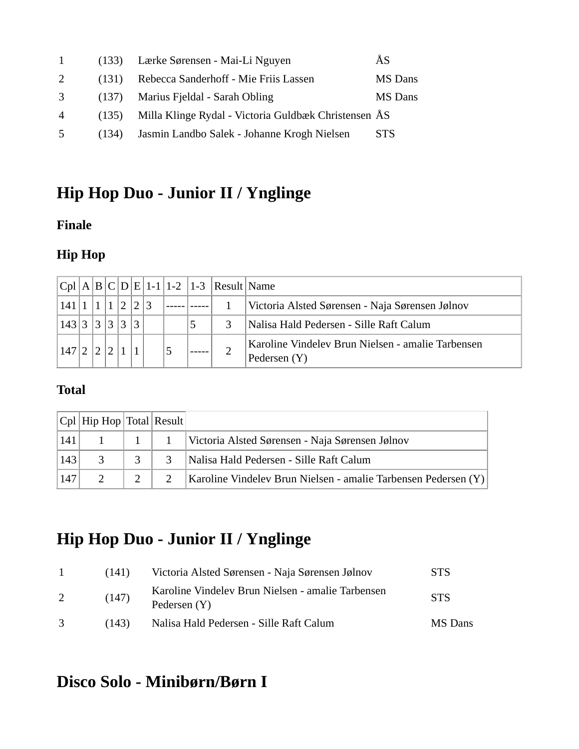|                | (133) | Lærke Sørensen - Mai-Li Nguyen                       | ÅS             |
|----------------|-------|------------------------------------------------------|----------------|
| 2              | (131) | Rebecca Sanderhoff - Mie Friis Lassen                | <b>MS</b> Dans |
| 3              | (137) | Marius Fjeldal - Sarah Obling                        | <b>MS</b> Dans |
| $\overline{4}$ | (135) | Milla Klinge Rydal - Victoria Guldbæk Christensen ÅS |                |
| $\overline{5}$ | (134) | Jasmin Landbo Salek - Johanne Krogh Nielsen          | <b>STS</b>     |

# **Hip Hop Duo - Junior II / Ynglinge**

#### **Finale**

### **Hip Hop**

|      |   |            |            |              |  |   | $ Cpl A B C D E 1-1 1-2 1-3 Result Name$ |                                                                     |
|------|---|------------|------------|--------------|--|---|------------------------------------------|---------------------------------------------------------------------|
| 141  |   |            |            |              |  |   |                                          | Victoria Alsted Sørensen - Naja Sørensen Jølnov                     |
| 143  | ⌒ | $\bigcirc$ | $\bigcirc$ | $\mathbf{r}$ |  | 5 | $\mathcal{R}$                            | Nalisa Hald Pedersen - Sille Raft Calum                             |
| .147 |   |            |            |              |  |   |                                          | Karoline Vindelev Brun Nielsen - amalie Tarbensen<br>Pedersen $(Y)$ |

#### **Total**

|     | $ Cpl $ Hip Hop $ Total $ Result |  |                                                                |
|-----|----------------------------------|--|----------------------------------------------------------------|
|     |                                  |  | Victoria Alsted Sørensen - Naja Sørensen Jølnov                |
| 143 |                                  |  | Nalisa Hald Pedersen - Sille Raft Calum                        |
| 147 |                                  |  | Karoline Vindelev Brun Nielsen - amalie Tarbensen Pedersen (Y) |

# **Hip Hop Duo - Junior II / Ynglinge**

| $\overline{1}$ | (141) | Victoria Alsted Sørensen - Naja Sørensen Jølnov                     | <b>STS</b> |
|----------------|-------|---------------------------------------------------------------------|------------|
|                | (147) | Karoline Vindelev Brun Nielsen - amalie Tarbensen<br>Pedersen $(Y)$ | <b>STS</b> |
| $\mathcal{R}$  | (143) | Nalisa Hald Pedersen - Sille Raft Calum                             | MS Dans    |

# **Disco Solo - Minibørn/Børn I**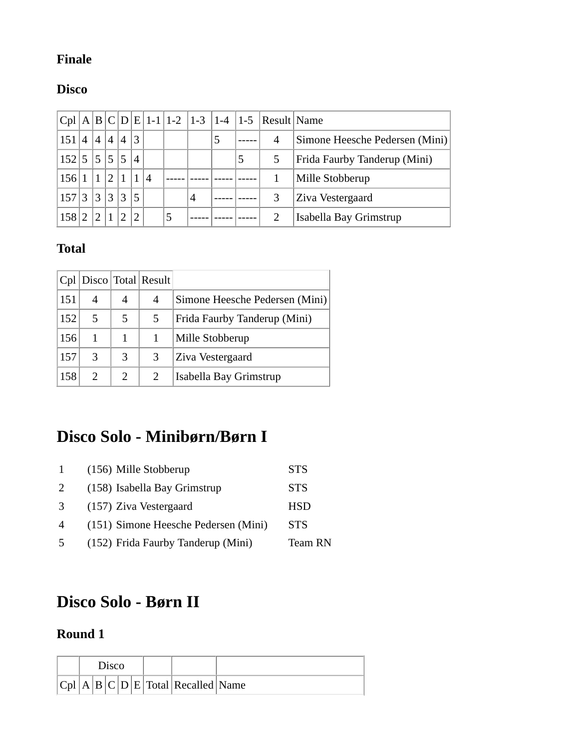#### **Finale**

#### **Disco**

| Cpl   |                |                |                   |                |                |                |   |   |   |   | $A B C D E 1-1 1-2 1-3 1-4 1-5 Result Name$ |                                     |
|-------|----------------|----------------|-------------------|----------------|----------------|----------------|---|---|---|---|---------------------------------------------|-------------------------------------|
| 151   | $\overline{A}$ | $\overline{4}$ | $\overline{4}$    | $\overline{A}$ | 3              |                |   |   | 5 |   | 4                                           | Simone Heesche Pedersen (Mini)      |
| 152 5 |                |                | $\frac{5}{5}$ 5 5 |                | $\overline{4}$ |                |   |   |   | 5 |                                             | <b>Frida Faurby Tanderup (Mini)</b> |
| 156   |                |                | $\overline{2}$    |                | 1              | $\overline{4}$ |   |   |   |   |                                             | Mille Stobberup                     |
| 157   | 3              | 3 3            |                   | 3              | 5              |                |   | 4 |   |   |                                             | Ziva Vestergaard                    |
| 158   | ി              | $\mathcal{D}$  | $\mathbf{1}$      |                | $\mathcal{D}$  |                | 5 |   |   |   |                                             | Isabella Bay Grimstrup              |

#### **Total**

|     |                |                | $ Cpl $ Disco Total Result |                                |
|-----|----------------|----------------|----------------------------|--------------------------------|
| 151 | 4              | 4              | 4                          | Simone Heesche Pedersen (Mini) |
| 152 | 5              | 5              | 5                          | Frida Faurby Tanderup (Mini)   |
| 156 |                |                |                            | Mille Stobberup                |
| 157 | 3              | 3              | 3                          | Ziva Vestergaard               |
| 158 | $\mathfrak{D}$ | $\mathfrak{D}$ |                            | Isabella Bay Grimstrup         |

# **Disco Solo - Minibørn/Børn I**

|                | (156) Mille Stobberup                | <b>STS</b> |
|----------------|--------------------------------------|------------|
| 2              | (158) Isabella Bay Grimstrup         | <b>STS</b> |
| 3              | (157) Ziva Vestergaard               | <b>HSD</b> |
| $\overline{A}$ | (151) Simone Heesche Pedersen (Mini) | <b>STS</b> |
| -5             | (152) Frida Faurby Tanderup (Mini)   | Team RN    |

## **Disco Solo - Børn II**

### **Round 1**

| $\gamma$ isco |  |  |  |  |                                   |  |
|---------------|--|--|--|--|-----------------------------------|--|
|               |  |  |  |  | Cpl A B C D E Total Recalled Name |  |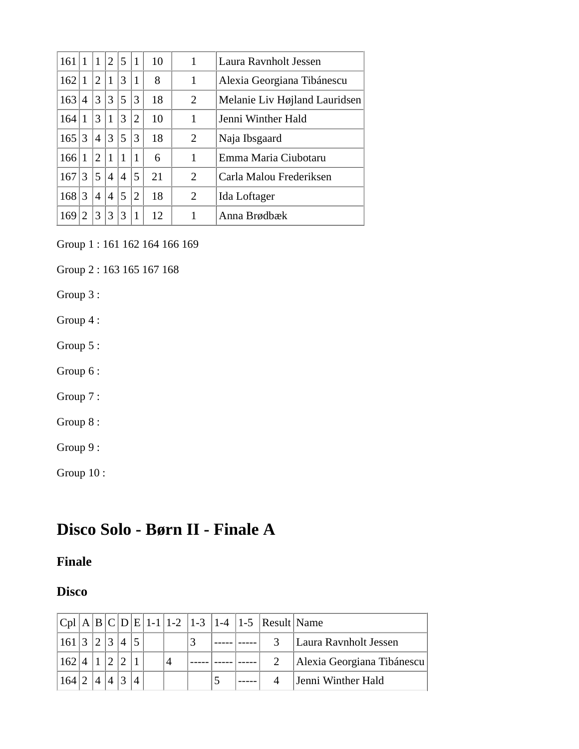| 161 |                |                | $\overline{2}$ | 5 | $\mathbf{1}$   | 10 | 1              | Laura Ravnholt Jessen         |
|-----|----------------|----------------|----------------|---|----------------|----|----------------|-------------------------------|
| 162 |                | $\overline{2}$ | $\mathbf{1}$   | 3 |                | 8  | 1              | Alexia Georgiana Tibánescu    |
| 163 | $\overline{4}$ | 3              | 3              | 5 | 3              | 18 | 2              | Melanie Liv Højland Lauridsen |
| 164 |                | 3              | $\mathbf{1}$   | 3 | $\overline{2}$ | 10 | 1              | Jenni Winther Hald            |
| 165 | 3              | $\overline{4}$ | 3              | 5 | 3              | 18 | $\overline{2}$ | Naja Ibsgaard                 |
| 166 |                | 2              | $\mathbf{1}$   | 1 |                | 6  | 1              | Emma Maria Ciubotaru          |
| 167 | 3              | 5              | 4              | 4 | 5              | 21 | $\overline{2}$ | Carla Malou Frederiksen       |
| 168 | 3              | 4              | 4              | 5 | $\overline{2}$ | 18 | 2              | Ida Loftager                  |
| 169 |                | 3              | 3              | 3 |                | 12 |                | Anna Brødbæk                  |

Group 1 : 161 162 164 166 169

Group 2 : 163 165 167 168

Group 3 :

Group 4 :

Group 5 :

Group 6 :

Group 7 :

Group 8 :

Group 9 :

Group 10 :

## **Disco Solo - Børn II - Finale A**

#### **Finale**

#### **Disco**

|         |   |  |  |                |  | $ Cpl A B C D E 1-1 1-2 1-3 1-4 1-5 Result Name$ |                            |
|---------|---|--|--|----------------|--|--------------------------------------------------|----------------------------|
| 161 3 2 |   |  |  |                |  |                                                  | Laura Ravnholt Jessen      |
| 162 4   |   |  |  | $\overline{4}$ |  |                                                  | Alexia Georgiana Tibánescu |
| 164 2"  | 4 |  |  |                |  |                                                  | Jenni Winther Hald         |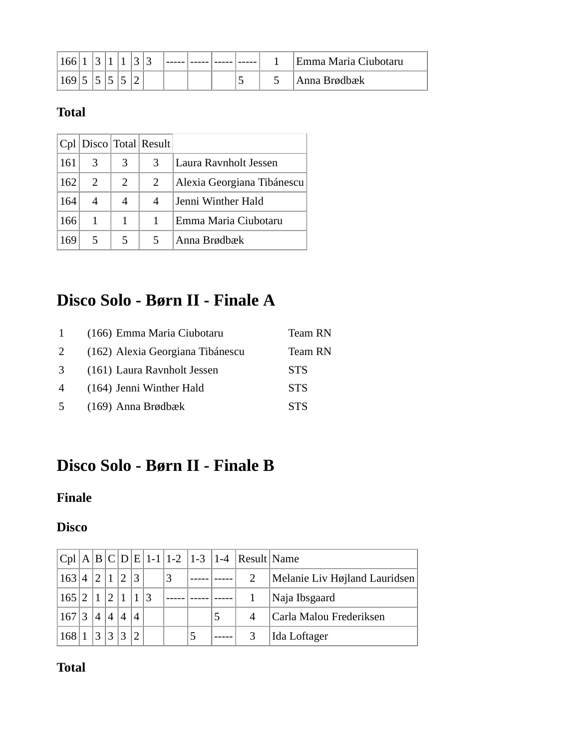| 166 |  |  |  |  |                          | Emma Maria Ciubotaru |
|-----|--|--|--|--|--------------------------|----------------------|
| 169 |  |  |  |  | $\overline{\phantom{0}}$ | Anna Brødbæk         |

### **Total**

|     |                       |   | $ Cpl $ Disco Total Result |                            |
|-----|-----------------------|---|----------------------------|----------------------------|
| 161 | 3                     | 3 | 3                          | Laura Ravnholt Jessen      |
| 162 | $\mathcal{D}_{\cdot}$ | 2 | 2                          | Alexia Georgiana Tibánescu |
| 164 | 4                     | 4 | 4                          | Jenni Winther Hald         |
| 166 |                       |   |                            | Emma Maria Ciubotaru       |
| 169 |                       | 5 |                            | Anna Brødbæk               |

# **Disco Solo - Børn II - Finale A**

|               | (166) Emma Maria Ciubotaru       | Team RN    |
|---------------|----------------------------------|------------|
| 2             | (162) Alexia Georgiana Tibánescu | Team RN    |
| $\mathcal{R}$ | (161) Laura Ravnholt Jessen      | <b>STS</b> |
| 4             | (164) Jenni Winther Hald         | <b>STS</b> |
| .5            | $(169)$ Anna Brødbæk             | <b>STS</b> |

# **Disco Solo - Børn II - Finale B**

#### **Finale**

#### **Disco**

|       |             |                             |               |  |  | $ Cpl A B C D E 1-1 1-2 1-3 1-4 Result Name$ |                               |
|-------|-------------|-----------------------------|---------------|--|--|----------------------------------------------|-------------------------------|
| 163 4 | $ 2\rangle$ |                             | 3             |  |  |                                              | Melanie Liv Højland Lauridsen |
| 165 2 |             | $\mathcal{D}_{\mathcal{L}}$ |               |  |  |                                              | Naja Ibsgaard                 |
| 167 3 |             | $\overline{4}$              |               |  |  |                                              | Carla Malou Frederiksen       |
| 168   | 3           | 3                           | $\mathcal{D}$ |  |  |                                              | Ida Loftager                  |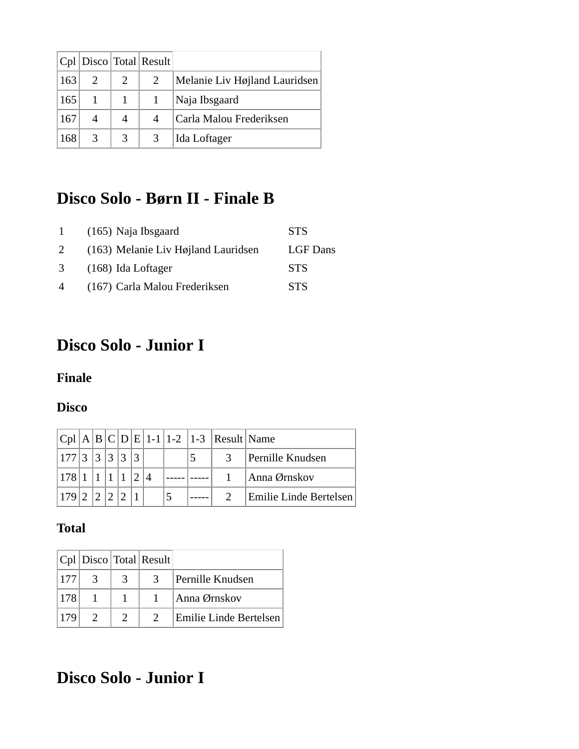|     |               |   | $ Cpl $ Disco Total Result |                               |
|-----|---------------|---|----------------------------|-------------------------------|
| 163 |               |   | 2                          | Melanie Liv Højland Lauridsen |
| 165 |               |   |                            | Naja Ibsgaard                 |
| 167 |               |   | 4                          | Carla Malou Frederiksen       |
| 168 | $\mathcal{R}$ | 3 | 3                          | Ida Loftager                  |

### **Disco Solo - Børn II - Finale B**

| $\mathbf{1}$   | $(165)$ Naja Ibsgaard                 | <b>STS</b>      |
|----------------|---------------------------------------|-----------------|
| 2              | $(163)$ Melanie Liv Højland Lauridsen | <b>LGF</b> Dans |
| 3              | $(168)$ Ida Loftager                  | <b>STS</b>      |
| $\overline{4}$ | (167) Carla Malou Frederiksen         | <b>STS</b>      |

# **Disco Solo - Junior I**

#### **Finale**

#### **Disco**

|           |  |   |  |  | $ Cpl A B C D E 1-1 1-2 1-3 Result Name$ |                        |
|-----------|--|---|--|--|------------------------------------------|------------------------|
| 177 3 3 3 |  | 3 |  |  |                                          | Pernille Knudsen       |
| 17811     |  |   |  |  |                                          | Anna Ørnskov           |
|           |  |   |  |  |                                          | Emilie Linde Bertelsen |

#### **Total**

|      |   | $ Cpl $ Disco $ Total $ Result |                        |
|------|---|--------------------------------|------------------------|
| 177  |   |                                | Pernille Knudsen       |
| 178  |   |                                | Anna Ørnskov           |
| 1179 | C |                                | Emilie Linde Bertelsen |

# **Disco Solo - Junior I**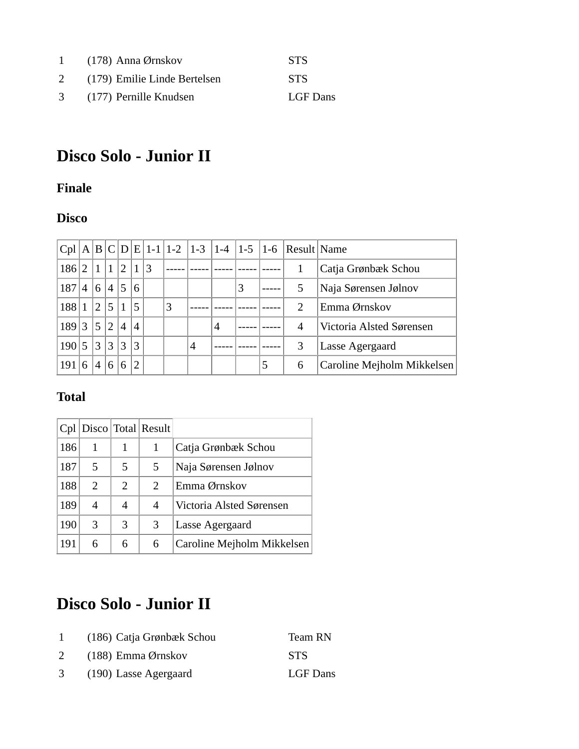|   | 1 $(178)$ Anna Ørnskov       | <b>STS</b> |
|---|------------------------------|------------|
| 2 | (179) Emilie Linde Bertelsen | <b>STS</b> |
|   | 3 (177) Pernille Knudsen     | LGF Dans   |

# **Disco Solo - Junior II**

#### **Finale**

#### **Disco**

|     |                |                |                |                |                |           |   |   |                |   |   | $ Cpl A B C D E 1-1 1-2 1-3 1-4 1-5 1-6 Result Name$ |                            |
|-----|----------------|----------------|----------------|----------------|----------------|-----------|---|---|----------------|---|---|------------------------------------------------------|----------------------------|
| 186 | $\overline{2}$ |                |                | 1 1 2          |                | $\vert 3$ |   |   |                |   |   |                                                      | Catja Grønbæk Schou        |
| 187 | $\overline{4}$ | 6 4            |                | $5^{\circ}$    | 6              |           |   |   |                | 3 |   | 5                                                    | Naja Sørensen Jølnov       |
| 188 |                | $^{\prime}2$   | $\overline{5}$ |                | 5              |           | 3 |   |                |   |   | 2                                                    | Emma Ørnskov               |
| 189 | 3              | 5              | 2              | $\overline{4}$ | $\overline{4}$ |           |   |   | $\overline{4}$ |   |   | 4                                                    | Victoria Alsted Sørensen   |
| 190 | 5              | 3              | 3              | 3              | 3              |           |   | 4 |                |   |   | 3                                                    | Lasse Agergaard            |
| 191 | 6              | $\overline{4}$ | $\overline{6}$ |                | $\mathcal{D}$  |           |   |   |                |   | 5 | 6                                                    | Caroline Mejholm Mikkelsen |

### **Total**

|     |                       |   | $ Cpl $ Disco Total Result |                            |
|-----|-----------------------|---|----------------------------|----------------------------|
| 186 |                       |   |                            | Catja Grønbæk Schou        |
| 187 | 5                     | 5 | 5                          | Naja Sørensen Jølnov       |
| 188 | $\mathcal{D}_{\cdot}$ | 2 | 2                          | Emma Ørnskov               |
| 189 | 4                     | 4 | 4                          | Victoria Alsted Sørensen   |
| 190 | 3                     | 3 | 3                          | Lasse Agergaard            |
| 191 | 6                     | 6 | 6                          | Caroline Mejholm Mikkelsen |

# **Disco Solo - Junior II**

|   | (186) Catja Grønbæk Schou | Team RN    |
|---|---------------------------|------------|
|   | $(188)$ Emma Ørnskov      | <b>STS</b> |
| 3 | (190) Lasse Agergaard     | LGF Dans   |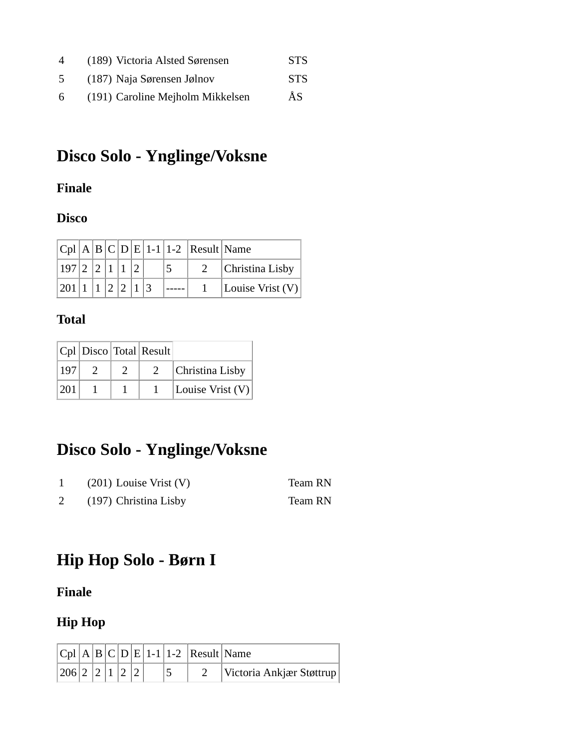| 4 | (189) Victoria Alsted Sørensen   | <b>STS</b> |
|---|----------------------------------|------------|
| 5 | (187) Naja Sørensen Jølnov       | <b>STS</b> |
| 6 | (191) Caroline Mejholm Mikkelsen | ÅS         |

# **Disco Solo - Ynglinge/Voksne**

#### **Finale**

#### **Disco**

|                                                           |  |  |  | $ Cpl A B C D E 1-1 1-2 Result Name$ |                    |
|-----------------------------------------------------------|--|--|--|--------------------------------------|--------------------|
| $\frac{197}{2}$ $\frac{2}{1}$ $\frac{1}{1}$ $\frac{2}{2}$ |  |  |  |                                      | Christina Lisby    |
| 201 1 1 2 2 1 3                                           |  |  |  |                                      | Louise Vrist $(V)$ |

#### **Total**

|      |  | $ Cpl $ Disco Total Result |                    |
|------|--|----------------------------|--------------------|
| 197  |  |                            | Christina Lisby    |
| 1201 |  |                            | Louise Vrist $(V)$ |

## **Disco Solo - Ynglinge/Voksne**

| $(201)$ Louise Vrist $(V)$ | Team RN |
|----------------------------|---------|
| (197) Christina Lisby      | Team RN |

# **Hip Hop Solo - Børn I**

**Finale**

### **Hip Hop**

|               |  |  |  | $ C_{\rm D}  A  B  C  D  E  1-1 1-2 Result Name$ |                          |
|---------------|--|--|--|--------------------------------------------------|--------------------------|
| 206 2 2 1 2 2 |  |  |  |                                                  | Victoria Ankjær Støttrup |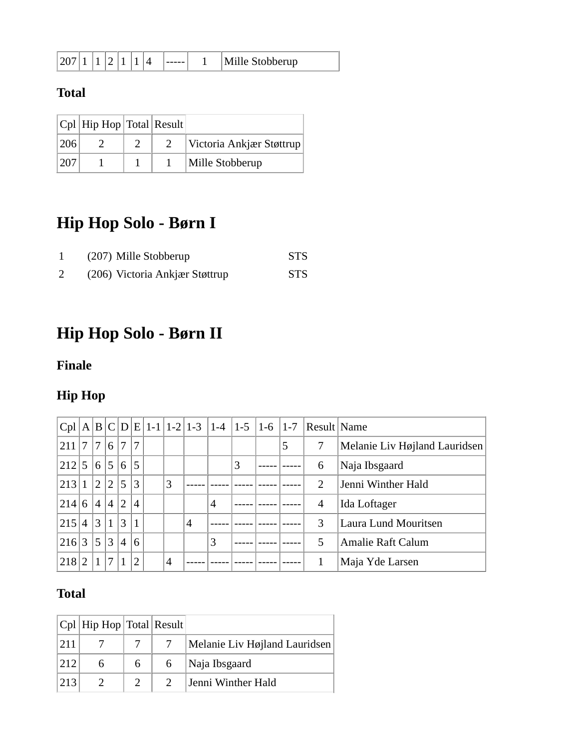| ----- | $\Lambda$ <sup>11</sup> $\alpha$<br>ille Stobberup |
|-------|----------------------------------------------------|
|-------|----------------------------------------------------|

### **Total**

|      | $ Cpl $ Hip Hop Total Result |  |                          |
|------|------------------------------|--|--------------------------|
| 206  |                              |  | Victoria Ankjær Støttrup |
| 1207 |                              |  | Mille Stobberup          |

# **Hip Hop Solo - Børn I**

| (207) Mille Stobberup          | <b>STS</b> |
|--------------------------------|------------|
| (206) Victoria Ankjær Støttrup | <b>STS</b> |

# **Hip Hop Solo - Børn II**

### **Finale**

### **Hip Hop**

|         |                 |              |                |                 |                |   |   |   |   |   | $ Cpl A B C D E 1-1 1-2 1-3 1-4 1-5 1-6 1-7 Result Name$ |                               |
|---------|-----------------|--------------|----------------|-----------------|----------------|---|---|---|---|---|----------------------------------------------------------|-------------------------------|
| 211 7 7 |                 |              | 6              | $\tau$          | 7              |   |   |   |   | 5 | 7                                                        | Melanie Liv Højland Lauridsen |
| 212 5   |                 | 6 5          |                | 16 <sup>1</sup> | 5              |   |   |   | 3 |   | 6                                                        | Naja Ibsgaard                 |
| 213     | $\mathbf{1}$    | $12^{\circ}$ | $ 2\rangle$    | 5               | 3              | 3 |   |   |   |   | 2                                                        | Jenni Winther Hald            |
| 214     | 6               | $\sqrt{4}$   | $\vert 4$      | 12              | $\overline{4}$ |   |   | 4 |   |   | 4                                                        | Ida Loftager                  |
| 215     | $\vert 4 \vert$ | 3 1          |                | 3               |                |   | 4 |   |   |   | 3                                                        | Laura Lund Mouritsen          |
| 216 3   |                 | 5            | 3              | $\overline{4}$  | 6              |   |   | 3 |   |   | 5                                                        | <b>Amalie Raft Calum</b>      |
| 218     | $\overline{2}$  | 1            | $\overline{7}$ |                 | $\overline{2}$ | 4 |   |   |   |   |                                                          | Maja Yde Larsen               |

|      | $ Cpl $ Hip Hop Total Result |   |                               |
|------|------------------------------|---|-------------------------------|
|      |                              |   | Melanie Liv Højland Lauridsen |
| 1212 |                              |   | Naja Ibsgaard                 |
| 213  |                              | 2 | Jenni Winther Hald            |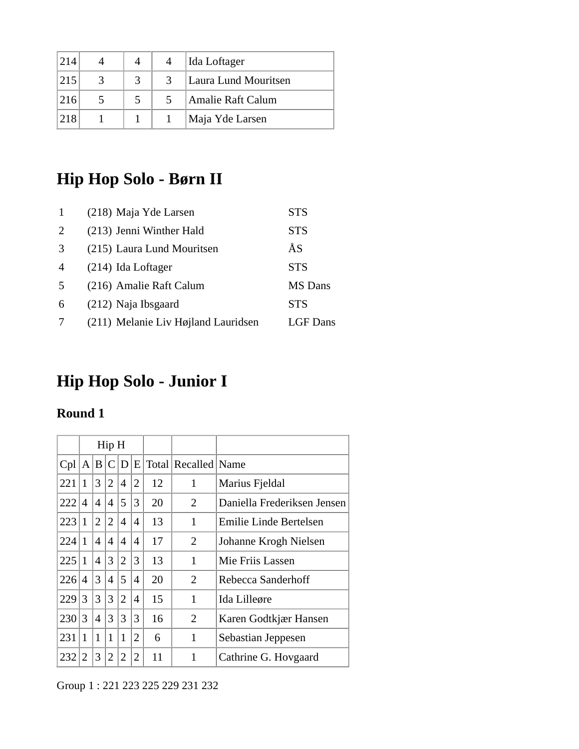| 214 |  | Ida Loftager         |
|-----|--|----------------------|
| 215 |  | Laura Lund Mouritsen |
| 216 |  | Amalie Raft Calum    |
| 218 |  | Maja Yde Larsen      |

# **Hip Hop Solo - Børn II**

|                | (218) Maja Yde Larsen               | <b>STS</b>     |
|----------------|-------------------------------------|----------------|
| $\overline{2}$ | (213) Jenni Winther Hald            | <b>STS</b>     |
| 3              | (215) Laura Lund Mouritsen          | ÅS             |
| $\overline{4}$ | $(214)$ Ida Loftager                | <b>STS</b>     |
| -5             | (216) Amalie Raft Calum             | <b>MS</b> Dans |
| 6              | (212) Naja Ibsgaard                 | <b>STS</b>     |
|                | (211) Melanie Liv Højland Lauridsen | LGF Dans       |

# **Hip Hop Solo - Junior I**

### **Round 1**

|     | Hip H          |                |                |                |                |    |                     |                             |
|-----|----------------|----------------|----------------|----------------|----------------|----|---------------------|-----------------------------|
| Cpl | A B            |                | $\mathsf{C}$   | D              | E              |    | Total Recalled Name |                             |
| 221 | 1              | 3              | $\overline{2}$ | 4              | $\overline{2}$ | 12 | 1                   | Marius Fjeldal              |
| 222 | $\overline{A}$ | $\overline{4}$ | 4              | 5              | 3              | 20 | 2                   | Daniella Frederiksen Jensen |
| 223 | 1              | $\overline{2}$ | 2              | 4              | $\overline{4}$ | 13 | 1                   | Emilie Linde Bertelsen      |
| 224 | 1              | 4              | $\overline{4}$ | 4              | $\overline{4}$ | 17 | 2                   | Johanne Krogh Nielsen       |
| 225 | 1              | $\overline{4}$ | 3              | $\overline{2}$ | 3              | 13 | 1                   | Mie Friis Lassen            |
| 226 | $\overline{4}$ | 3              | $\overline{4}$ | 5              | 4              | 20 | $\overline{2}$      | Rebecca Sanderhoff          |
| 229 | 3              | 3              | 3              | $\overline{2}$ | $\overline{4}$ | 15 | 1                   | Ida Lilleøre                |
| 230 | 3              | 4              | 3              | 3              | 3              | 16 | $\overline{2}$      | Karen Godtkjær Hansen       |
| 231 | 1              | $\mathbf{1}$   | 1              | 1              | $\overline{2}$ | 6  | 1                   | Sebastian Jeppesen          |
| 232 | 2              | 3              | 2              | 2              | $\overline{2}$ | 11 |                     | Cathrine G. Hovgaard        |

Group 1 : 221 223 225 229 231 232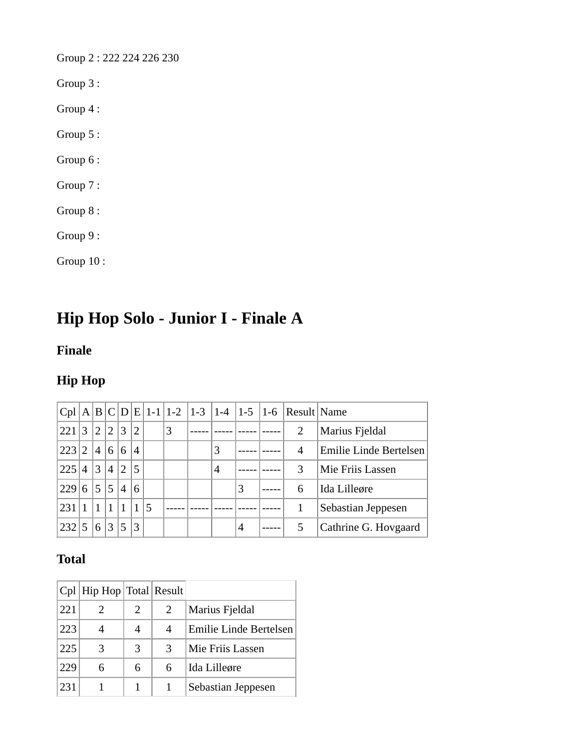Group 2 : 222 224 226 230

Group 3 :

Group 4 :

Group 5 :

Group 6 :

Group 7 :

Group 8 :

Group 9 :

Group 10 :

## **Hip Hop Solo - Junior I - Finale A**

#### **Finale**

### **Hip Hop**

|      |                |                |                |                |                |   |   |   |   | $ Cpl A B C D E 1-1 1-2 1-3 1-4 1-5 1-6 Result Name$ |                        |  |
|------|----------------|----------------|----------------|----------------|----------------|---|---|---|---|------------------------------------------------------|------------------------|--|
| 221  | 3              | $^{\prime}2$   | $\overline{2}$ | 3              | $\overline{2}$ |   | 3 |   |   | 2                                                    | Marius Fjeldal         |  |
| 223  | $^{\prime}2$   | $\overline{4}$ | 6              | 6              | $\overline{4}$ |   |   | 3 |   | 4                                                    | Emilie Linde Bertelsen |  |
| 225  | $\overline{A}$ | 3              | $\overline{4}$ | $\overline{2}$ | 5              |   |   | 4 |   | 3                                                    | Mie Friis Lassen       |  |
| 229  | 6              | 5              | 5              | 4              | 6              |   |   |   | 3 | 6                                                    | Ida Lilleøre           |  |
| 1231 |                |                | $\mathbf{1}$   |                |                | 5 |   |   |   |                                                      | Sebastian Jeppesen     |  |
| 232  |                | 6              | 3              | 5              | 3              |   |   |   | 4 |                                                      | Cathrine G. Hovgaard   |  |

|     | Cpl   Hip Hop   Total   Result |   |   |                        |
|-----|--------------------------------|---|---|------------------------|
| 221 |                                | 2 | 2 | Marius Fjeldal         |
| 223 |                                |   | 4 | Emilie Linde Bertelsen |
| 225 |                                | 3 | 3 | Mie Friis Lassen       |
| 229 |                                | 6 | 6 | Ida Lilleøre           |
| 231 |                                |   |   | Sebastian Jeppesen     |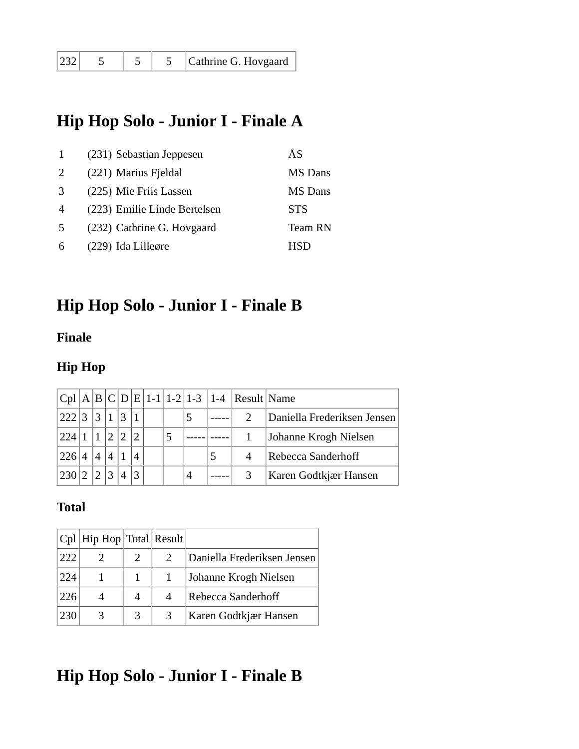| 232 | Cathrine G. Hovgaard |
|-----|----------------------|
|-----|----------------------|

### **Hip Hop Solo - Junior I - Finale A**

|                | (231) Sebastian Jeppesen     | ÅS             |
|----------------|------------------------------|----------------|
| 2              | (221) Marius Fjeldal         | <b>MS</b> Dans |
| $\mathcal{R}$  | (225) Mie Friis Lassen       | <b>MS</b> Dans |
| $\overline{4}$ | (223) Emilie Linde Bertelsen | <b>STS</b>     |
| $\sim$         | (232) Cathrine G. Hovgaard   | Team RN        |
| 6              | (229) Ida Lilleøre           | HSD            |

### **Hip Hop Solo - Junior I - Finale B**

#### **Finale**

### **Hip Hop**

|     |                |  |  |   | $ Cpl A B C D E 1-1 1-2 1-3 1-4 Result Name$ |                             |
|-----|----------------|--|--|---|----------------------------------------------|-----------------------------|
| 222 | 3              |  |  |   |                                              | Daniella Frederiksen Jensen |
| 224 |                |  |  |   |                                              | Johanne Krogh Nielsen       |
| 226 | $\overline{A}$ |  |  |   |                                              | Rebecca Sanderhoff          |
| 230 |                |  |  | 4 |                                              | Karen Godtkjær Hansen       |

#### **Total**

|     | $ Cpl $ Hip Hop $ Total $ Result |   |                             |
|-----|----------------------------------|---|-----------------------------|
| 222 |                                  |   | Daniella Frederiksen Jensen |
| 224 |                                  |   | Johanne Krogh Nielsen       |
| 226 |                                  | 4 | Rebecca Sanderhoff          |
| 230 |                                  | 3 | Karen Godtkjær Hansen       |

# **Hip Hop Solo - Junior I - Finale B**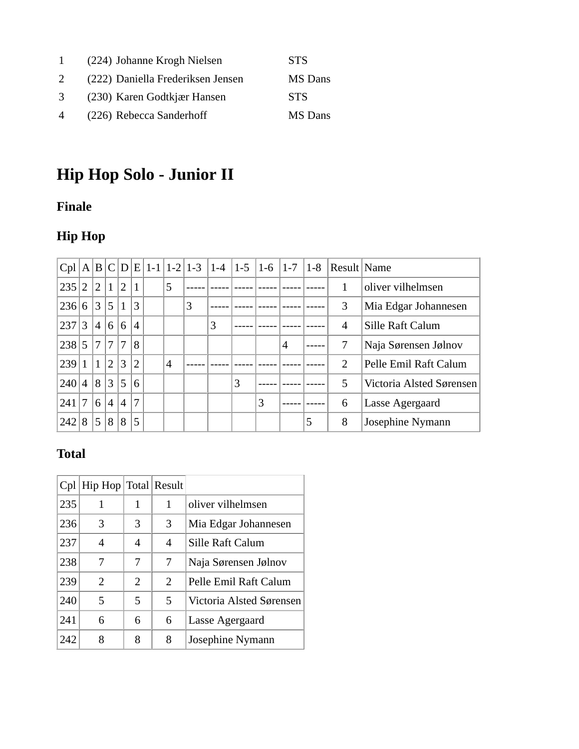| $\mathbf{1}$   | (224) Johanne Krogh Nielsen       | <b>STS</b> |
|----------------|-----------------------------------|------------|
| 2              | (222) Daniella Frederiksen Jensen | MS Dans    |
| 3              | (230) Karen Godtkjær Hansen       | <b>STS</b> |
| $\overline{4}$ | (226) Rebecca Sanderhoff          | MS Dans    |

# **Hip Hop Solo - Junior II**

### **Finale**

### **Hip Hop**

|     |                |                |                 |                |                |   |   |   | $ Cpl A B C D E 1-1 1-2 1-3 1-4 1-5 1-6 1-7$ |   |   | $ 1-8 $ | Result Name                 |                          |  |
|-----|----------------|----------------|-----------------|----------------|----------------|---|---|---|----------------------------------------------|---|---|---------|-----------------------------|--------------------------|--|
| 235 | $\overline{2}$ | $\overline{2}$ | $\vert$ 1       | $\overline{2}$ | $\mathbf{1}$   | 5 |   |   |                                              |   |   |         |                             | oliver vilhelmsen        |  |
| 236 | 6              | 3              | $\vert 5 \vert$ | $\mathbf{1}$   | 3              |   | 3 |   |                                              |   |   |         | 3                           | Mia Edgar Johannesen     |  |
| 237 | 3              | $\overline{4}$ | 6               | 6              | $\overline{4}$ |   |   | 3 |                                              |   |   |         | 4                           | Sille Raft Calum         |  |
| 238 | 5              | 7              | $\tau$          | $\overline{7}$ | 8              |   |   |   |                                              |   | 4 |         |                             | Naja Sørensen Jølnov     |  |
| 239 |                | $\mathbf{1}$   | $\overline{2}$  | 3              | $\overline{2}$ | 4 |   |   |                                              |   |   |         | $\mathcal{D}_{\mathcal{L}}$ | Pelle Emil Raft Calum    |  |
| 240 | $\overline{4}$ | 8              | 3               | 5              | 6              |   |   |   | 3                                            |   |   |         | 5                           | Victoria Alsted Sørensen |  |
| 241 | 7              | 6              | $^{\prime}$ 4   | $\overline{4}$ | $\overline{7}$ |   |   |   |                                              | 3 |   |         | 6                           | Lasse Agergaard          |  |
| 242 | 8              | 5              | 8               | 8              | 5              |   |   |   |                                              |   |   | 5       | 8                           | Josephine Nymann         |  |

| Cpl | Hip Hop Total Result |                |   |                          |
|-----|----------------------|----------------|---|--------------------------|
| 235 |                      | 1              |   | oliver vilhelmsen        |
| 236 | 3                    | 3              | 3 | Mia Edgar Johannesen     |
| 237 | 4                    | 4              | 4 | Sille Raft Calum         |
| 238 |                      | 7              | 7 | Naja Sørensen Jølnov     |
| 239 | 2                    | $\overline{2}$ | 2 | Pelle Emil Raft Calum    |
| 240 | 5                    | 5              | 5 | Victoria Alsted Sørensen |
| 241 | 6                    | 6              | 6 | Lasse Agergaard          |
| 242 | 8                    | 8              | 8 | Josephine Nymann         |